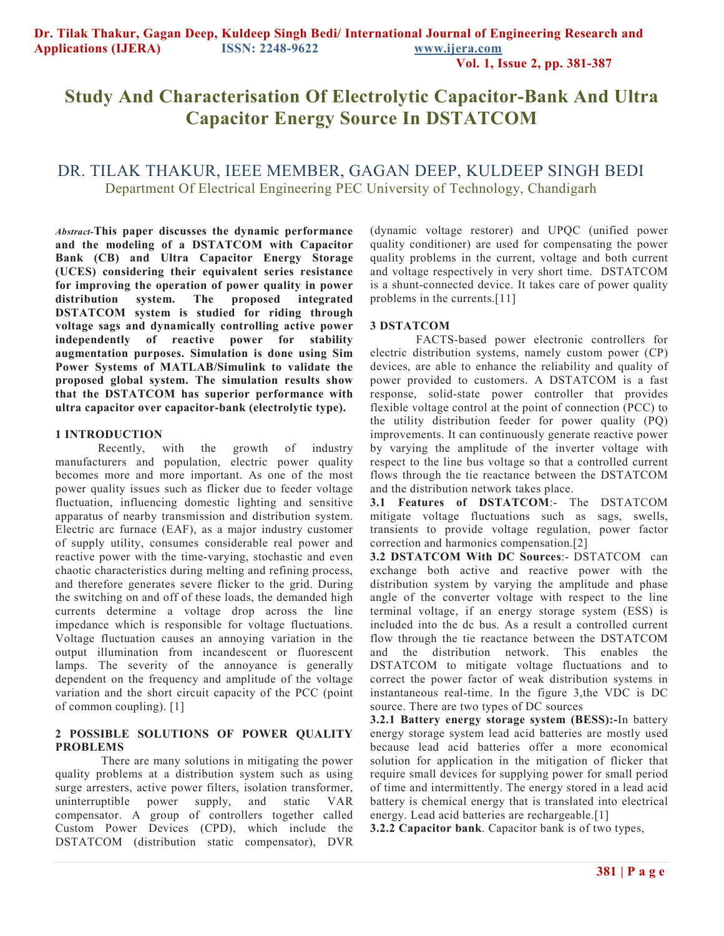**Vol. 1, Issue 2, pp. 381-387**

# **Study And Characterisation Of Electrolytic Capacitor-Bank And Ultra Capacitor Energy Source In DSTATCOM**

# DR. TILAK THAKUR, IEEE MEMBER, GAGAN DEEP, KULDEEP SINGH BEDI Department Of Electrical Engineering PEC University of Technology, Chandigarh

*Abstract-***This paper discusses the dynamic performance and the modeling of a DSTATCOM with Capacitor Bank (CB) and Ultra Capacitor Energy Storage (UCES) considering their equivalent series resistance for improving the operation of power quality in power distribution system. The proposed integrated DSTATCOM system is studied for riding through voltage sags and dynamically controlling active power independently of reactive power for stability augmentation purposes. Simulation is done using Sim Power Systems of MATLAB/Simulink to validate the proposed global system. The simulation results show that the DSTATCOM has superior performance with ultra capacitor over capacitor-bank (electrolytic type).** 

#### **1 INTRODUCTION**

Recently, with the growth of industry manufacturers and population, electric power quality becomes more and more important. As one of the most power quality issues such as flicker due to feeder voltage fluctuation, influencing domestic lighting and sensitive apparatus of nearby transmission and distribution system. Electric arc furnace (EAF), as a major industry customer of supply utility, consumes considerable real power and reactive power with the time-varying, stochastic and even chaotic characteristics during melting and refining process, and therefore generates severe flicker to the grid. During the switching on and off of these loads, the demanded high currents determine a voltage drop across the line impedance which is responsible for voltage fluctuations. Voltage fluctuation causes an annoying variation in the output illumination from incandescent or fluorescent lamps. The severity of the annoyance is generally dependent on the frequency and amplitude of the voltage variation and the short circuit capacity of the PCC (point of common coupling). [1]

#### **2 POSSIBLE SOLUTIONS OF POWER QUALITY PROBLEMS**

 There are many solutions in mitigating the power quality problems at a distribution system such as using surge arresters, active power filters, isolation transformer, uninterruptible power supply, and static VAR compensator. A group of controllers together called Custom Power Devices (CPD), which include the DSTATCOM (distribution static compensator), DVR (dynamic voltage restorer) and UPQC (unified power quality conditioner) are used for compensating the power quality problems in the current, voltage and both current and voltage respectively in very short time. DSTATCOM is a shunt-connected device. It takes care of power quality problems in the currents.[11]

#### **3 DSTATCOM**

 FACTS-based power electronic controllers for electric distribution systems, namely custom power (CP) devices, are able to enhance the reliability and quality of power provided to customers. A DSTATCOM is a fast response, solid-state power controller that provides flexible voltage control at the point of connection (PCC) to the utility distribution feeder for power quality (PQ) improvements. It can continuously generate reactive power by varying the amplitude of the inverter voltage with respect to the line bus voltage so that a controlled current flows through the tie reactance between the DSTATCOM and the distribution network takes place.

**3.1 Features of DSTATCOM**:- The DSTATCOM mitigate voltage fluctuations such as sags, swells, transients to provide voltage regulation, power factor correction and harmonics compensation.[2]

**3.2 DSTATCOM With DC Sources**:- DSTATCOM can exchange both active and reactive power with the distribution system by varying the amplitude and phase angle of the converter voltage with respect to the line terminal voltage, if an energy storage system (ESS) is included into the dc bus. As a result a controlled current flow through the tie reactance between the DSTATCOM and the distribution network. This enables the DSTATCOM to mitigate voltage fluctuations and to correct the power factor of weak distribution systems in instantaneous real-time. In the figure 3,the VDC is DC source. There are two types of DC sources

**3.2.1 Battery energy storage system (BESS):-**In battery energy storage system lead acid batteries are mostly used because lead acid batteries offer a more economical solution for application in the mitigation of flicker that require small devices for supplying power for small period of time and intermittently. The energy stored in a lead acid battery is chemical energy that is translated into electrical energy. Lead acid batteries are rechargeable.[1]

**3.2.2 Capacitor bank**. Capacitor bank is of two types,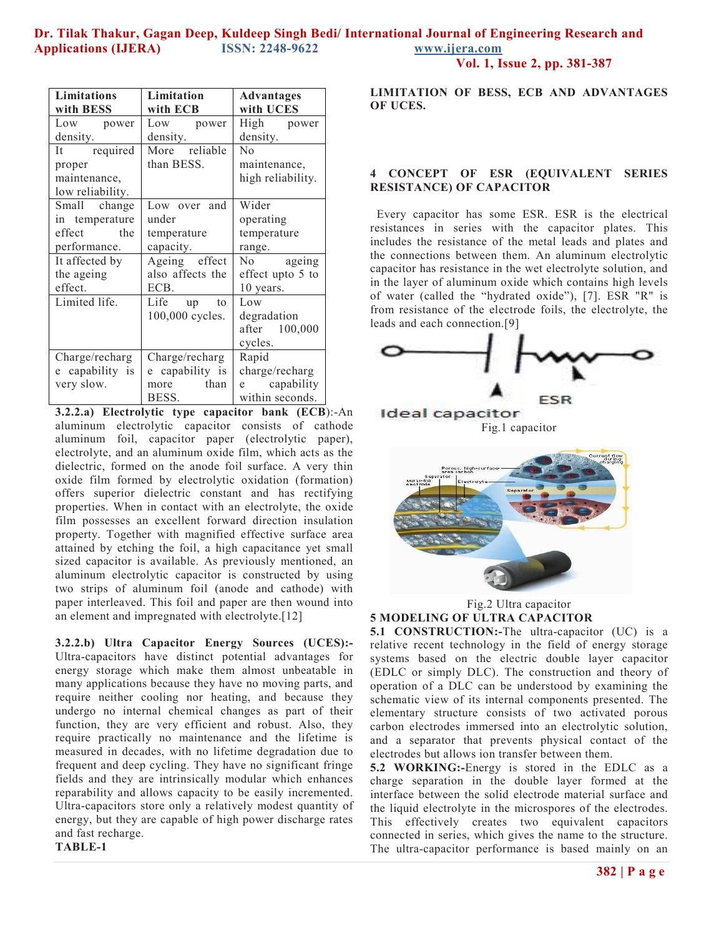|  | Vol. 1, Issue 2, pp. 381-387 |  |  |
|--|------------------------------|--|--|
|  |                              |  |  |

| <b>Limitations</b> | Limitation       | <b>Advantages</b> |  |  |
|--------------------|------------------|-------------------|--|--|
| with BESS          | with ECB         | with UCES         |  |  |
| Low power          | Low power        | High power        |  |  |
| density.           | density.         | density.          |  |  |
| It required        | More reliable    | N <sub>0</sub>    |  |  |
| proper             | than BESS.       | maintenance,      |  |  |
| maintenance,       |                  | high reliability. |  |  |
| low reliability.   |                  |                   |  |  |
| Small change       | Low over and     | Wider             |  |  |
| in temperature     | under            | operating         |  |  |
| effect the         | temperature      | temperature       |  |  |
| performance.       | capacity.        | range.            |  |  |
| It affected by     | Ageing effect    | No ageing         |  |  |
| the ageing         | also affects the | effect upto 5 to  |  |  |
| effect.            | ECB.             | 10 years.         |  |  |
| Limited life.      | Life up<br>to    | Low               |  |  |
|                    | 100,000 cycles.  | degradation       |  |  |
|                    |                  | after 100,000     |  |  |
|                    |                  | cycles.           |  |  |
| Charge/recharg     | Charge/recharg   | Rapid             |  |  |
| e capability is    | e capability is  | charge/recharg    |  |  |
| very slow.         | more than        | e capability      |  |  |
|                    | BESS.            | within seconds.   |  |  |

**3.2.2.a) Electrolytic type capacitor bank (ECB**):-An aluminum electrolytic capacitor consists of cathode aluminum foil, capacitor paper (electrolytic paper), electrolyte, and an aluminum oxide film, which acts as the dielectric, formed on the anode foil surface. A very thin oxide film formed by electrolytic oxidation (formation) offers superior dielectric constant and has rectifying properties. When in contact with an electrolyte, the oxide film possesses an excellent forward direction insulation property. Together with magnified effective surface area attained by etching the foil, a high capacitance yet small sized capacitor is available. As previously mentioned, an aluminum electrolytic capacitor is constructed by using two strips of aluminum foil (anode and cathode) with paper interleaved. This foil and paper are then wound into an element and impregnated with electrolyte.[12]

**3.2.2.b) Ultra Capacitor Energy Sources (UCES):-** Ultra-capacitors have distinct potential advantages for energy storage which make them almost unbeatable in many applications because they have no moving parts, and require neither cooling nor heating, and because they undergo no internal chemical changes as part of their function, they are very efficient and robust. Also, they require practically no maintenance and the lifetime is measured in decades, with no lifetime degradation due to frequent and deep cycling. They have no significant fringe fields and they are intrinsically modular which enhances reparability and allows capacity to be easily incremented. Ultra-capacitors store only a relatively modest quantity of energy, but they are capable of high power discharge rates and fast recharge.

**TABLE-1** 

**LIMITATION OF BESS, ECB AND ADVANTAGES OF UCES.** 

#### **4 CONCEPT OF ESR (EQUIVALENT SERIES RESISTANCE) OF CAPACITOR**

Every capacitor has some ESR. ESR is the electrical resistances in series with the capacitor plates. This includes the resistance of the metal leads and plates and the connections between them. An aluminum electrolytic capacitor has resistance in the wet electrolyte solution, and in the layer of aluminum oxide which contains high levels of water (called the "hydrated oxide"), [7]. ESR "R" is from resistance of the electrode foils, the electrolyte, the leads and each connection.[9]



Ideal capacitor Fig.1 capacitor



Fig.2 Ultra capacitor **5 MODELING OF ULTRA CAPACITOR** 

**5.1 CONSTRUCTION:-The ultra-capacitor (UC) is a** relative recent technology in the field of energy storage systems based on the electric double layer capacitor (EDLC or simply DLC). The construction and theory of operation of a DLC can be understood by examining the schematic view of its internal components presented. The elementary structure consists of two activated porous carbon electrodes immersed into an electrolytic solution, and a separator that prevents physical contact of the electrodes but allows ion transfer between them.

**5.2 WORKING:-**Energy is stored in the EDLC as a charge separation in the double layer formed at the interface between the solid electrode material surface and the liquid electrolyte in the microspores of the electrodes. This effectively creates two equivalent capacitors connected in series, which gives the name to the structure. The ultra-capacitor performance is based mainly on an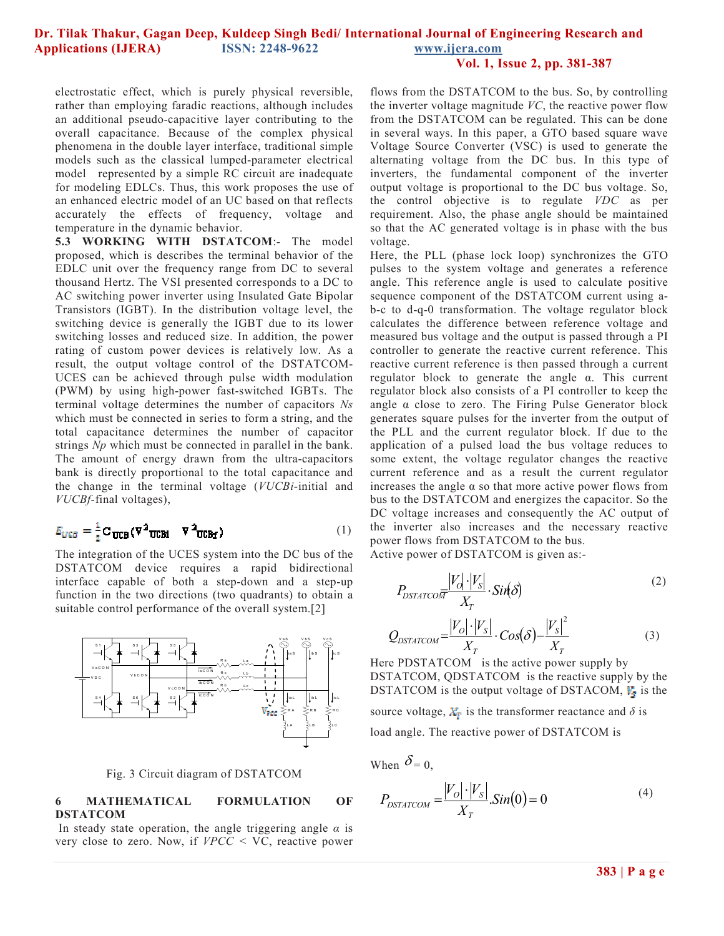**Vol. 1, Issue 2, pp. 381-387**

electrostatic effect, which is purely physical reversible, rather than employing faradic reactions, although includes an additional pseudo-capacitive layer contributing to the overall capacitance. Because of the complex physical phenomena in the double layer interface, traditional simple models such as the classical lumped-parameter electrical model represented by a simple RC circuit are inadequate for modeling EDLCs. Thus, this work proposes the use of an enhanced electric model of an UC based on that reflects accurately the effects of frequency, voltage and temperature in the dynamic behavior.

**5.3 WORKING WITH DSTATCOM**:- The model proposed, which is describes the terminal behavior of the EDLC unit over the frequency range from DC to several thousand Hertz. The VSI presented corresponds to a DC to AC switching power inverter using Insulated Gate Bipolar Transistors (IGBT). In the distribution voltage level, the switching device is generally the IGBT due to its lower switching losses and reduced size. In addition, the power rating of custom power devices is relatively low. As a result, the output voltage control of the DSTATCOM-UCES can be achieved through pulse width modulation (PWM) by using high-power fast-switched IGBTs. The terminal voltage determines the number of capacitors *Ns*  which must be connected in series to form a string, and the total capacitance determines the number of capacitor strings *Np* which must be connected in parallel in the bank. The amount of energy drawn from the ultra-capacitors bank is directly proportional to the total capacitance and the change in the terminal voltage (*VUCBi*-initial and *VUCBf*-final voltages),

$$
E_{\text{UCB}} = \frac{1}{2} \mathbf{C}_{\text{UCB}} (\mathbf{V}^2_{\text{UCBi}} - \mathbf{V}^2_{\text{UCBf}})
$$
 (1)

The integration of the UCES system into the DC bus of the DSTATCOM device requires a rapid bidirectional interface capable of both a step-down and a step-up function in the two directions (two quadrants) to obtain a suitable control performance of the overall system.[2]





#### **6 MATHEMATICAL FORMULATION OF DSTATCOM**

In steady state operation, the angle triggering angle *α* is very close to zero. Now, if *VPCC <* VC, reactive power flows from the DSTATCOM to the bus. So, by controlling the inverter voltage magnitude *VC*, the reactive power flow from the DSTATCOM can be regulated. This can be done in several ways. In this paper, a GTO based square wave Voltage Source Converter (VSC) is used to generate the alternating voltage from the DC bus. In this type of inverters, the fundamental component of the inverter output voltage is proportional to the DC bus voltage. So, the control objective is to regulate *VDC* as per requirement. Also, the phase angle should be maintained so that the AC generated voltage is in phase with the bus voltage.

Here, the PLL (phase lock loop) synchronizes the GTO pulses to the system voltage and generates a reference angle. This reference angle is used to calculate positive sequence component of the DSTATCOM current using ab-c to d-q-0 transformation. The voltage regulator block calculates the difference between reference voltage and measured bus voltage and the output is passed through a PI controller to generate the reactive current reference. This reactive current reference is then passed through a current regulator block to generate the angle α. This current regulator block also consists of a PI controller to keep the angle α close to zero. The Firing Pulse Generator block generates square pulses for the inverter from the output of the PLL and the current regulator block. If due to the application of a pulsed load the bus voltage reduces to some extent, the voltage regulator changes the reactive current reference and as a result the current regulator increases the angle  $\alpha$  so that more active power flows from bus to the DSTATCOM and energizes the capacitor. So the DC voltage increases and consequently the AC output of the inverter also increases and the necessary reactive power flows from DSTATCOM to the bus.

Active power of DSTATCOM is given as:-

$$
P_{DSTATCOF} \frac{|V_O| \cdot |V_S|}{X_T} \cdot Sin(\delta)
$$
\n
$$
Q_{DSTATCOM} = \frac{|V_O| \cdot |V_S|}{X_T} \cdot Cos(\delta) - \frac{|V_S|^2}{X_T}
$$
\n(3)

Here PDSTATCOM is the active power supply by DSTATCOM, QDSTATCOM is the reactive supply by the DSTATCOM is the output voltage of DSTACOM,  $\mathbf{F}_s$  is the source voltage,  $X_T$  is the transformer reactance and  $\delta$  is load angle. The reactive power of DSTATCOM is

When  $\delta = 0$ ,

$$
P_{DSTATCOM} = \frac{|V_O| \cdot |V_S|}{X_T} . Sin(0) = 0
$$
\n<sup>(4)</sup>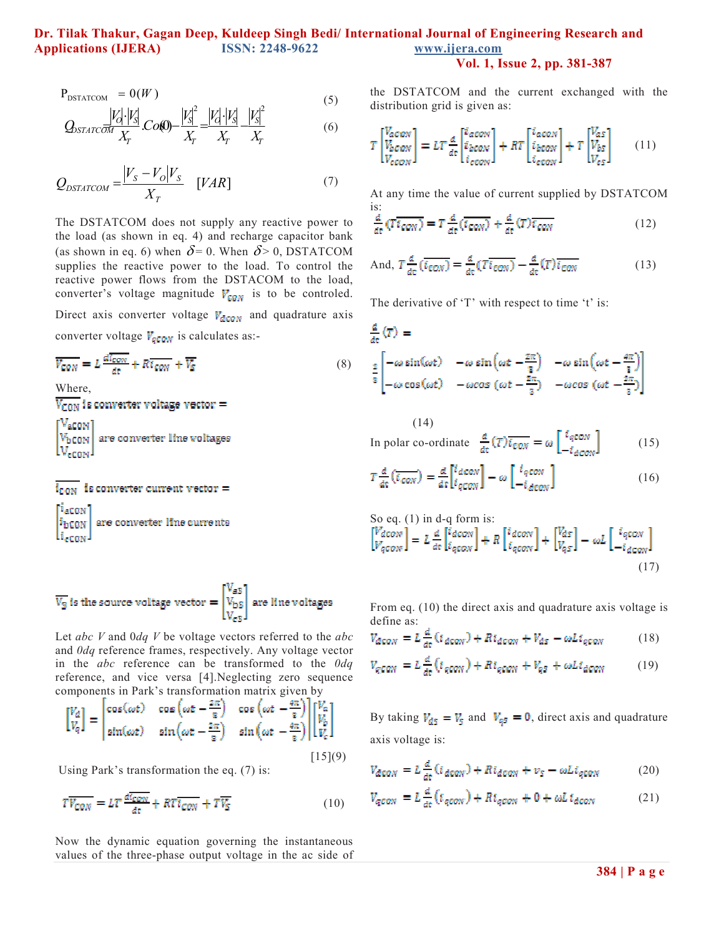**Vol. 1, Issue 2, pp. 381-387**

$$
P_{DSTATCOM} = 0(W)
$$
\n
$$
|\mathbf{r}| |\mathbf{r}| \qquad |\mathbf{r}|^2 |\mathbf{r}| |\mathbf{r}| |\mathbf{r}|^2 \qquad (5)
$$

$$
Q_{\text{STATC}} \frac{|V_0'|V_s|}{X_T} \cdot \text{Co(0)} - \frac{|V_s'|}{X_T} = \frac{|V_0'|V_s|}{X_T} - \frac{|V_s'|}{X_T} \tag{6}
$$

$$
Q_{DSTATCOM} = \frac{|V_s - V_O|V_S}{X_T} \quad [VAR] \tag{7}
$$

The DSTATCOM does not supply any reactive power to the load (as shown in eq. 4) and recharge capacitor bank (as shown in eq. 6) when  $\delta$  = 0. When  $\delta$  > 0, DSTATCOM supplies the reactive power to the load. To control the reactive power flows from the DSTACOM to the load, converter's voltage magnitude  $V_{\text{c}gN}$  is to be controled. Direct axis converter voltage  $V_{deon}$  and quadrature axis converter voltage  $V_{q\text{conv}}$  is calculates as:-

$$
\overline{V_{CON}} = L \frac{d \overline{t_{CON}}}{dt} + R \overline{t_{CON}} + \overline{V_S}
$$
 (8)

Where,

 $\overline{V_{\text{CON}}}$  is converter voltage vector =

″acon' are converter line voltages Vъсом | .<br>eow

 $\overline{\mathbf{1}_{\texttt{CON}}}$  is converter current vector =

<sup>1</sup>aton are converter line currents <sup>i</sup>bton  $\rm\,Li_{eCON}$  .

$$
\overline{V_S}
$$
 is the source voltage vector  $=\begin{bmatrix} V_{\text{aS}} \\ V_{\text{bS}} \\ V_{\text{cS}} \end{bmatrix}$  are line voltages

Let *abc V* and 0*dq V* be voltage vectors referred to the *abc*  and *0dq* reference frames, respectively. Any voltage vector in the *abc* reference can be transformed to the *0dq*  reference, and vice versa [4].Neglecting zero sequence components in Park's transformation matrix given by

$$
\begin{bmatrix} V_d \\ V_q \end{bmatrix} = \begin{bmatrix} \cos(\omega t) & \cos(\omega t - \frac{2\pi}{3}) & \cos(\omega t - \frac{4\pi}{3}) \\ \sin(\omega t) & \sin(\omega t - \frac{2\pi}{3}) & \sin(\omega t - \frac{4\pi}{3}) \end{bmatrix} \begin{bmatrix} V_a \\ V_b \\ V_c \end{bmatrix}
$$
\n
$$
[15](9)
$$

Using Park's transformation the eq. (7) is:

$$
T\overline{V_{CON}} = LT \frac{d\overline{t_{CON}}}{dt} + RT\overline{t_{CON}} + T\overline{V_S}
$$
 (10)

Now the dynamic equation governing the instantaneous values of the three-phase output voltage in the ac side of the DSTATCOM and the current exchanged with the distribution grid is given as:

$$
T\begin{bmatrix}V_{acON}\\V_{bcON}\end{bmatrix} = LT\frac{d}{dt}\begin{bmatrix}i_{acON}\\i_{bcON}\end{bmatrix} + RT\begin{bmatrix}i_{acON}\\i_{bcON}\end{bmatrix} + T\begin{bmatrix}V_{as}\\V_{bs}\end{bmatrix} \qquad (11)
$$

At any time the value of current supplied by DSTATCOM is:

$$
\frac{d}{dt}\left(\overline{T_{\text{GON}}}\right) = T\frac{d}{dt}\left(\overline{t_{\text{GON}}}\right) + \frac{d}{dt}\left(\overline{T}\right)\overline{t_{\text{GON}}}\tag{12}
$$

And, 
$$
T\frac{d}{d\tau}\left(\overline{t_{CON}}\right) = \frac{d}{dt}(T\overline{t_{CON}}) - \frac{d}{d\tau}(T)\overline{t_{CON}}
$$
(13)

The derivative of 
$$
T
$$
 with respect to time 't' is:

$$
\frac{d}{dt}(T) =
$$
\n
$$
\frac{2}{\pi} \begin{bmatrix}\n-\omega \sin(\omega t) & -\omega \sin(\omega t - \frac{2\pi}{\pi}) & -\omega \sin(\omega t - \frac{4\pi}{\pi}) \\
-\omega \cos(\omega t) & -\omega \cos(\omega t - \frac{2\pi}{\pi}) & -\omega \cos(\omega t - \frac{2\pi}{\pi})\n\end{bmatrix}
$$

(14)  
In polar co-ordinate 
$$
\frac{d}{dt} (T) \overline{t_{CON}} = \omega \left[ \frac{i_{qCON}}{-i_{dCON}} \right]
$$
 (15)  
 $= d \overline{t_{ACON}}$  d [decon]

$$
T\frac{d}{dt}\left(\overline{i_{\text{conv}}}\right) = \frac{d}{dt}\left[\frac{i_{\text{dconv}}}{i_{\text{qconv}}}\right] - \omega\left[\frac{i_{\text{qconv}}}{-i_{\text{dconv}}}\right] \tag{16}
$$

So eq. (1) in d-q form is:  
\n
$$
\begin{bmatrix} V_{dCON} \\ V_{qCON} \end{bmatrix} = L \frac{d}{dt} \begin{bmatrix} i_{dCON} \\ i_{qCON} \end{bmatrix} + R \begin{bmatrix} i_{dCON} \\ i_{qCON} \end{bmatrix} + \begin{bmatrix} V_{dS} \\ V_{qS} \end{bmatrix} - \omega L \begin{bmatrix} i_{qCON} \\ -i_{dCON} \end{bmatrix}
$$
\n(17)

From eq. (10) the direct axis and quadrature axis voltage is define as:

$$
V_{dcON} = L\frac{a}{dt}(i_{dcON}) + Ri_{dcON} + V_{ds} - \omega L i_{qCON}
$$
 (18)

$$
V_{qGON} = L\frac{d}{dt}\left(i_{qGON}\right) + Ri_{qGON} + V_{qS} + \omega L i_{dGON} \tag{19}
$$

By taking  $V_{ds} = V_s$  and  $V_{qs} = 0$ , direct axis and quadrature axis voltage is:

$$
V_{dCON} = L_{\frac{d}{dt}}^{d} (t_{dCON}) + R t_{dCON} + v_{S} - \omega L t_{qCON}
$$
 (20)

$$
V_{qCON} = L\frac{d}{dt}\left(i_{qCON}\right) + Ri_{qCON} + 0 + \omega Li_{dCON} \tag{21}
$$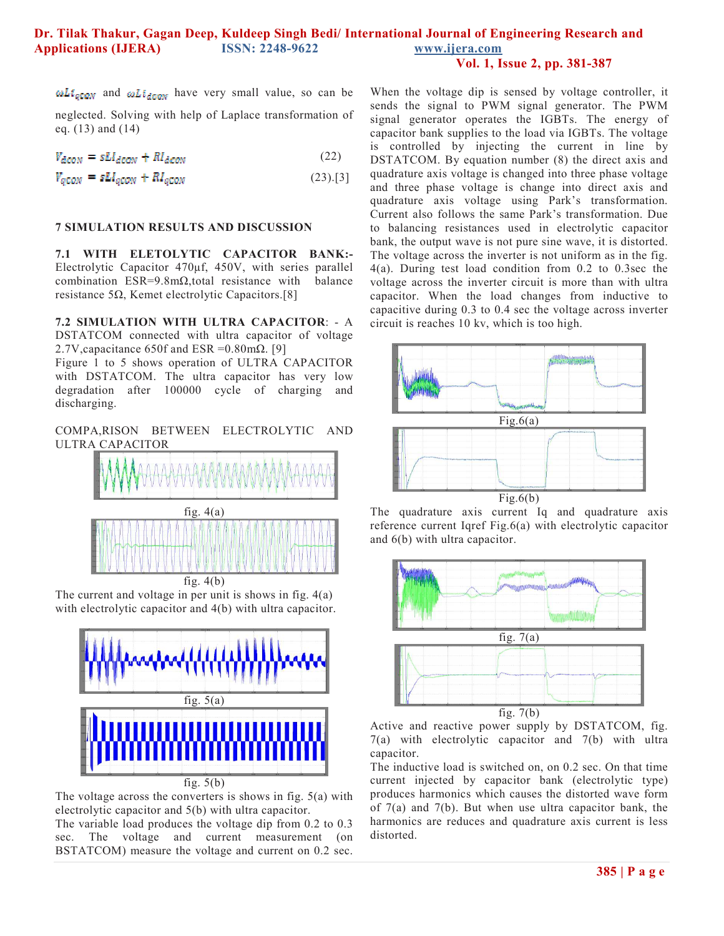$\omega L i_{\text{geom}}$  and  $\omega L i_{\text{decon}}$  have very small value, so can be

neglected. Solving with help of Laplace transformation of eq. (13) and (14)

 $V_{dcow} = sLI_{dcow} + RI_{dcow}$ (22)

$$
V_{q\text{COM}} = sLI_{q\text{CON}} + RI_{q\text{CON}} \tag{23).[3]}
$$

#### **7 SIMULATION RESULTS AND DISCUSSION**

**7.1 WITH ELETOLYTIC CAPACITOR BANK:-**  Electrolytic Capacitor 470µf, 450V, with series parallel combination ESR=9.8mΩ,total resistance with balance resistance 5Ω, Kemet electrolytic Capacitors.[8]

**7.2 SIMULATION WITH ULTRA CAPACITOR**: - A DSTATCOM connected with ultra capacitor of voltage 2.7V, capacitance 650f and ESR =  $0.80$  m $\Omega$ . [9]

Figure 1 to 5 shows operation of ULTRA CAPACITOR with DSTATCOM. The ultra capacitor has very low degradation after 100000 cycle of charging and discharging.

COMPA,RISON BETWEEN ELECTROLYTIC AND ULTRA CAPACITOR



The current and voltage in per unit is shows in fig. 4(a) with electrolytic capacitor and 4(b) with ultra capacitor.



The voltage across the converters is shows in fig. 5(a) with electrolytic capacitor and 5(b) with ultra capacitor.

The variable load produces the voltage dip from 0.2 to 0.3 sec. The voltage and current measurement (on BSTATCOM) measure the voltage and current on 0.2 sec.

When the voltage dip is sensed by voltage controller, it sends the signal to PWM signal generator. The PWM signal generator operates the IGBTs. The energy of capacitor bank supplies to the load via IGBTs. The voltage is controlled by injecting the current in line by DSTATCOM. By equation number (8) the direct axis and quadrature axis voltage is changed into three phase voltage and three phase voltage is change into direct axis and quadrature axis voltage using Park's transformation. Current also follows the same Park's transformation. Due to balancing resistances used in electrolytic capacitor bank, the output wave is not pure sine wave, it is distorted. The voltage across the inverter is not uniform as in the fig. 4(a). During test load condition from 0.2 to 0.3sec the voltage across the inverter circuit is more than with ultra capacitor. When the load changes from inductive to capacitive during 0.3 to 0.4 sec the voltage across inverter circuit is reaches 10 kv, which is too high.



The quadrature axis current Iq and quadrature axis reference current Iqref Fig.6(a) with electrolytic capacitor and 6(b) with ultra capacitor.



Active and reactive power supply by DSTATCOM, fig. 7(a) with electrolytic capacitor and 7(b) with ultra capacitor.

The inductive load is switched on, on 0.2 sec. On that time current injected by capacitor bank (electrolytic type) produces harmonics which causes the distorted wave form of 7(a) and 7(b). But when use ultra capacitor bank, the harmonics are reduces and quadrature axis current is less distorted.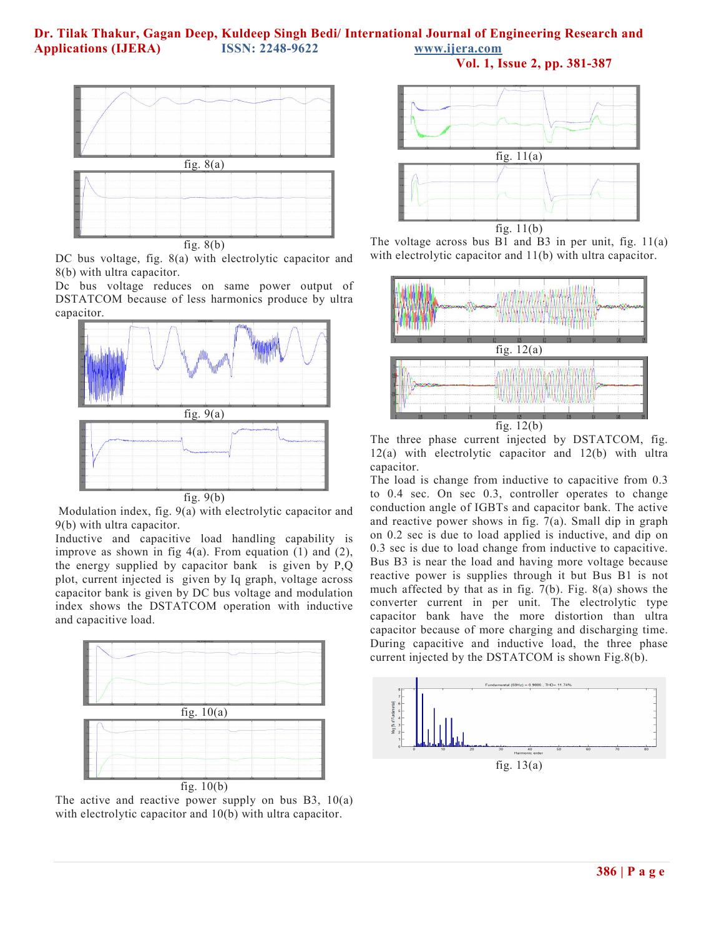

DC bus voltage, fig. 8(a) with electrolytic capacitor and 8(b) with ultra capacitor.

Dc bus voltage reduces on same power output of DSTATCOM because of less harmonics produce by ultra capacitor.



 Modulation index, fig. 9(a) with electrolytic capacitor and 9(b) with ultra capacitor.

Inductive and capacitive load handling capability is improve as shown in fig  $4(a)$ . From equation (1) and (2), the energy supplied by capacitor bank is given by P,Q plot, current injected is given by Iq graph, voltage across capacitor bank is given by DC bus voltage and modulation index shows the DSTATCOM operation with inductive and capacitive load.



The active and reactive power supply on bus  $B3$ ,  $10(a)$ with electrolytic capacitor and 10(b) with ultra capacitor.



**Vol. 1, Issue 2, pp. 381-387**

The voltage across bus  $B1$  and  $B3$  in per unit, fig. 11(a) with electrolytic capacitor and 11(b) with ultra capacitor.



The three phase current injected by DSTATCOM, fig. 12(a) with electrolytic capacitor and 12(b) with ultra capacitor.

The load is change from inductive to capacitive from 0.3 to 0.4 sec. On sec 0.3, controller operates to change conduction angle of IGBTs and capacitor bank. The active and reactive power shows in fig. 7(a). Small dip in graph on 0.2 sec is due to load applied is inductive, and dip on 0.3 sec is due to load change from inductive to capacitive. Bus B3 is near the load and having more voltage because reactive power is supplies through it but Bus B1 is not much affected by that as in fig. 7(b). Fig. 8(a) shows the converter current in per unit. The electrolytic type capacitor bank have the more distortion than ultra capacitor because of more charging and discharging time. During capacitive and inductive load, the three phase current injected by the DSTATCOM is shown Fig.8(b).